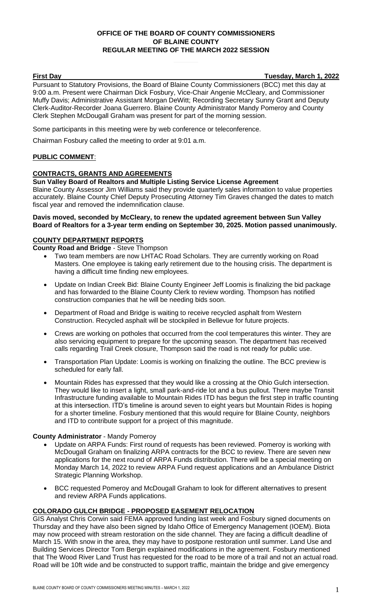## **OFFICE OF THE BOARD OF COUNTY COMMISSIONERS OF BLAINE COUNTY REGULAR MEETING OF THE MARCH 2022 SESSION**

**First Day Tuesday, March 1, 2022**

Pursuant to Statutory Provisions, the Board of Blaine County Commissioners (BCC) met this day at 9:00 a.m. Present were Chairman Dick Fosbury, Vice-Chair Angenie McCleary, and Commissioner Muffy Davis; Administrative Assistant Morgan DeWitt; Recording Secretary Sunny Grant and Deputy Clerk-Auditor-Recorder Joana Guerrero. Blaine County Administrator Mandy Pomeroy and County Clerk Stephen McDougall Graham was present for part of the morning session.

Some participants in this meeting were by web conference or teleconference.

Chairman Fosbury called the meeting to order at 9:01 a.m.

## **PUBLIC COMMENT**:

## **CONTRACTS, GRANTS AND AGREEMENTS**

#### **Sun Valley Board of Realtors and Multiple Listing Service License Agreement**

Blaine County Assessor Jim Williams said they provide quarterly sales information to value properties accurately. Blaine County Chief Deputy Prosecuting Attorney Tim Graves changed the dates to match fiscal year and removed the indemnification clause.

#### **Davis moved, seconded by McCleary, to renew the updated agreement between Sun Valley Board of Realtors for a 3-year term ending on September 30, 2025. Motion passed unanimously.**

#### **COUNTY DEPARTMENT REPORTS**

**County Road and Bridge** - Steve Thompson

- Two team members are now LHTAC Road Scholars. They are currently working on Road Masters. One employee is taking early retirement due to the housing crisis. The department is having a difficult time finding new employees.
- Update on Indian Creek Bid: Blaine County Engineer Jeff Loomis is finalizing the bid package and has forwarded to the Blaine County Clerk to review wording. Thompson has notified construction companies that he will be needing bids soon.
- Department of Road and Bridge is waiting to receive recycled asphalt from Western Construction. Recycled asphalt will be stockpiled in Bellevue for future projects.
- Crews are working on potholes that occurred from the cool temperatures this winter. They are also servicing equipment to prepare for the upcoming season. The department has received calls regarding Trail Creek closure, Thompson said the road is not ready for public use.
- Transportation Plan Update: Loomis is working on finalizing the outline. The BCC preview is scheduled for early fall.
- Mountain Rides has expressed that they would like a crossing at the Ohio Gulch intersection. They would like to insert a light, small park-and-ride lot and a bus pullout. There maybe Transit Infrastructure funding available to Mountain Rides ITD has begun the first step in traffic counting at this intersection. ITD's timeline is around seven to eight years but Mountain Rides is hoping for a shorter timeline. Fosbury mentioned that this would require for Blaine County, neighbors and ITD to contribute support for a project of this magnitude.

## **County Administrator** - Mandy Pomeroy

- Update on ARPA Funds: First round of requests has been reviewed. Pomeroy is working with McDougall Graham on finalizing ARPA contracts for the BCC to review. There are seven new applications for the next round of ARPA Funds distribution. There will be a special meeting on Monday March 14, 2022 to review ARPA Fund request applications and an Ambulance District Strategic Planning Workshop.
- BCC requested Pomeroy and McDougall Graham to look for different alternatives to present and review ARPA Funds applications.

## **COLORADO GULCH BRIDGE - PROPOSED EASEMENT RELOCATION**

GIS Analyst Chris Corwin said FEMA approved funding last week and Fosbury signed documents on Thursday and they have also been signed by Idaho Office of Emergency Management (IOEM). Biota may now proceed with stream restoration on the side channel. They are facing a difficult deadline of March 15. With snow in the area, they may have to postpone restoration until summer. Land Use and Building Services Director Tom Bergin explained modifications in the agreement. Fosbury mentioned that The Wood River Land Trust has requested for the road to be more of a trail and not an actual road. Road will be 10ft wide and be constructed to support traffic, maintain the bridge and give emergency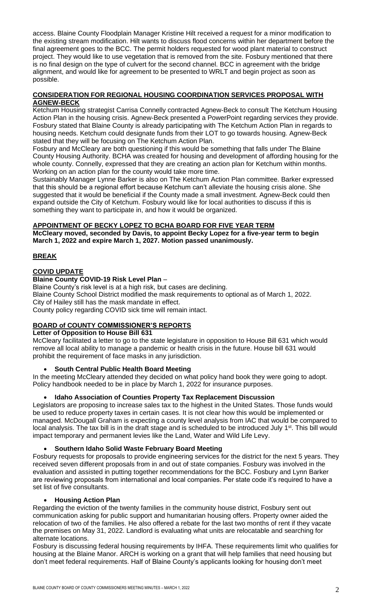access. Blaine County Floodplain Manager Kristine Hilt received a request for a minor modification to the existing stream modification. Hilt wants to discuss flood concerns within her department before the final agreement goes to the BCC. The permit holders requested for wood plant material to construct project. They would like to use vegetation that is removed from the site. Fosbury mentioned that there is no final design on the type of culvert for the second channel. BCC in agreement with the bridge alignment, and would like for agreement to be presented to WRLT and begin project as soon as possible.

#### **CONSIDERATION FOR REGIONAL HOUSING COORDINATION SERVICES PROPOSAL WITH AGNEW-BECK**

Ketchum Housing strategist Carrisa Connelly contracted Agnew-Beck to consult The Ketchum Housing Action Plan in the housing crisis. Agnew-Beck presented a PowerPoint regarding services they provide. Fosbury stated that Blaine County is already participating with The Ketchum Action Plan in regards to housing needs. Ketchum could designate funds from their LOT to go towards housing. Agnew-Beck stated that they will be focusing on The Ketchum Action Plan.

Fosbury and McCleary are both questioning if this would be something that falls under The Blaine County Housing Authority. BCHA was created for housing and development of affording housing for the whole county. Connelly, expressed that they are creating an action plan for Ketchum within months. Working on an action plan for the county would take more time.

Sustainably Manager Lynne Barker is also on The Ketchum Action Plan committee. Barker expressed that this should be a regional effort because Ketchum can't alleviate the housing crisis alone. She suggested that it would be beneficial if the County made a small investment. Agnew-Beck could then expand outside the City of Ketchum. Fosbury would like for local authorities to discuss if this is something they want to participate in, and how it would be organized.

## **APPOINTMENT OF BECKY LOPEZ TO BCHA BOARD FOR FIVE YEAR TERM**

**McCleary moved, seconded by Davis, to appoint Becky Lopez for a five-year term to begin March 1, 2022 and expire March 1, 2027. Motion passed unanimously.**

## **BREAK**

## **COVID UPDATE**

## **Blaine County COVID-19 Risk Level Plan** –

Blaine County's risk level is at a high risk, but cases are declining. Blaine County School District modified the mask requirements to optional as of March 1, 2022. City of Hailey still has the mask mandate in effect. County policy regarding COVID sick time will remain intact.

# **BOARD of COUNTY COMMISSIONER'S REPORTS**

## **Letter of Opposition to House Bill 631**

McCleary facilitated a letter to go to the state legislature in opposition to House Bill 631 which would remove all local ability to manage a pandemic or health crisis in the future. House bill 631 would prohibit the requirement of face masks in any jurisdiction.

## • **South Central Public Health Board Meeting**

In the meeting McCleary attended they decided on what policy hand book they were going to adopt. Policy handbook needed to be in place by March 1, 2022 for insurance purposes.

## • **Idaho Association of Counties Property Tax Replacement Discussion**

Legislators are proposing to increase sales tax to the highest in the United States. Those funds would be used to reduce property taxes in certain cases. It is not clear how this would be implemented or managed. McDougall Graham is expecting a county level analysis from IAC that would be compared to local analysis. The tax bill is in the draft stage and is scheduled to be introduced July 1<sup>st</sup>. This bill would impact temporary and permanent levies like the Land, Water and Wild Life Levy.

## • **Southern Idaho Solid Waste February Board Meeting**

Fosbury requests for proposals to provide engineering services for the district for the next 5 years. They received seven different proposals from in and out of state companies. Fosbury was involved in the evaluation and assisted in putting together recommendations for the BCC. Fosbury and Lynn Barker are reviewing proposals from international and local companies. Per state code it's required to have a set list of five consultants.

## • **Housing Action Plan**

Regarding the eviction of the twenty families in the community house district, Fosbury sent out communication asking for public support and humanitarian housing offers. Property owner aided the relocation of two of the families. He also offered a rebate for the last two months of rent if they vacate the premises on May 31, 2022. Landlord is evaluating what units are relocatable and searching for alternate locations.

Fosbury is discussing federal housing requirements by IHFA. These requirements limit who qualifies for housing at the Blaine Manor. ARCH is working on a grant that will help families that need housing but don't meet federal requirements. Half of Blaine County's applicants looking for housing don't meet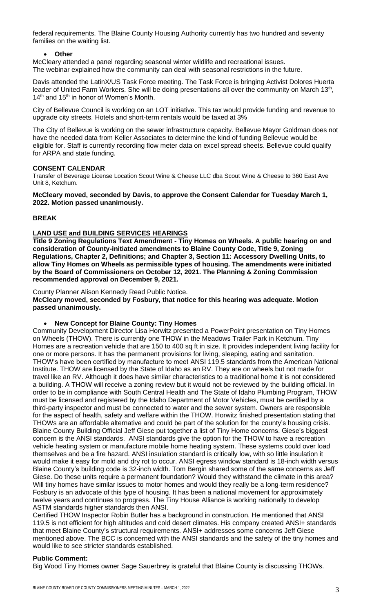federal requirements. The Blaine County Housing Authority currently has two hundred and seventy families on the waiting list.

## • **Other**

McCleary attended a panel regarding seasonal winter wildlife and recreational issues. The webinar explained how the community can deal with seasonal restrictions in the future.

Davis attended the LatinX/US Task Force meeting. The Task Force is bringing Activist Dolores Huerta leader of United Farm Workers. She will be doing presentations all over the community on March 13<sup>th</sup>, 14<sup>th</sup> and 15<sup>th</sup> in honor of Women's Month.

City of Bellevue Council is working on an LOT initiative. This tax would provide funding and revenue to upgrade city streets. Hotels and short-term rentals would be taxed at 3%

The City of Bellevue is working on the sewer infrastructure capacity. Bellevue Mayor Goldman does not have the needed data from Keller Associates to determine the kind of funding Bellevue would be eligible for. Staff is currently recording flow meter data on excel spread sheets. Bellevue could qualify for ARPA and state funding.

#### **CONSENT CALENDAR**

Transfer of Beverage License Location Scout Wine & Cheese LLC dba Scout Wine & Cheese to 360 East Ave Unit 8, Ketchum.

#### **McCleary moved, seconded by Davis, to approve the Consent Calendar for Tuesday March 1, 2022. Motion passed unanimously.**

## **BREAK**

#### **LAND USE and BUILDING SERVICES HEARINGS**

**Title 9 Zoning Regulations Text Amendment - Tiny Homes on Wheels. A public hearing on and consideration of County-initiated amendments to Blaine County Code, Title 9, Zoning Regulations, Chapter 2, Definitions; and Chapter 3, Section 11: Accessory Dwelling Units, to allow Tiny Homes on Wheels as permissible types of housing. The amendments were initiated by the Board of Commissioners on October 12, 2021. The Planning & Zoning Commission recommended approval on December 9, 2021.** 

County Planner Alison Kennedy Read Public Notice.

**McCleary moved, seconded by Fosbury, that notice for this hearing was adequate. Motion passed unanimously.** 

#### • **New Concept for Blaine County: Tiny Homes**

Community Development Director Lisa Horwitz presented a PowerPoint presentation on Tiny Homes on Wheels (THOW). There is currently one THOW in the Meadows Trailer Park in Ketchum. Tiny Homes are a recreation vehicle that are 150 to 400 sq ft in size. It provides independent living facility for one or more persons. It has the permanent provisions for living, sleeping, eating and sanitation. THOW's have been certified by manufacture to meet ANSI 119.5 standards from the American National Institute. THOW are licensed by the State of Idaho as an RV. They are on wheels but not made for travel like an RV. Although it does have similar characteristics to a traditional home it is not considered a building. A THOW will receive a zoning review but it would not be reviewed by the building official. In order to be in compliance with South Central Health and The State of Idaho Plumbing Program, THOW must be licensed and registered by the Idaho Department of Motor Vehicles, must be certified by a third-party inspector and must be connected to water and the sewer system. Owners are responsible for the aspect of health, safety and welfare within the THOW. Horwitz finished presentation stating that THOWs are an affordable alternative and could be part of the solution for the county's housing crisis. Blaine County Building Official Jeff Giese put together a list of Tiny Home concerns. Giese's biggest concern is the ANSI standards. ANSI standards give the option for the THOW to have a recreation vehicle heating system or manufacture mobile home heating system. These systems could over load themselves and be a fire hazard. ANSI insulation standard is critically low, with so little insulation it would make it easy for mold and dry rot to occur. ANSI egress window standard is 18-inch width versus Blaine County's building code is 32-inch width. Tom Bergin shared some of the same concerns as Jeff Giese. Do these units require a permanent foundation? Would they withstand the climate in this area? Will tiny homes have similar issues to motor homes and would they really be a long-term residence? Fosbury is an advocate of this type of housing. It has been a national movement for approximately twelve years and continues to progress. The Tiny House Alliance is working nationally to develop ASTM standards higher standards then ANSI.

Certified THOW Inspector Robin Butler has a background in construction. He mentioned that ANSI 119.5 is not efficient for high altitudes and cold desert climates. His company created ANSI+ standards that meet Blaine County's structural requirements. ANSI+ addresses some concerns Jeff Giese mentioned above. The BCC is concerned with the ANSI standards and the safety of the tiny homes and would like to see stricter standards established.

## **Public Comment:**

Big Wood Tiny Homes owner Sage Sauerbrey is grateful that Blaine County is discussing THOWs.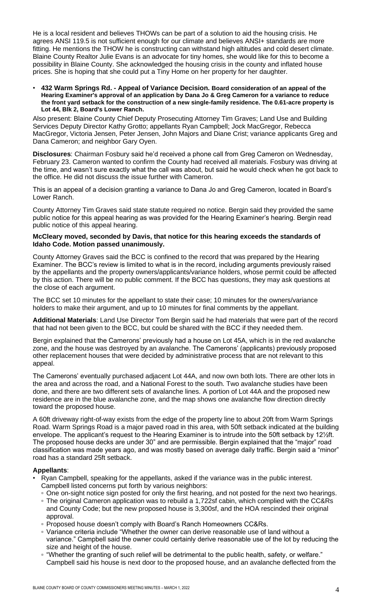He is a local resident and believes THOWs can be part of a solution to aid the housing crisis. He agrees ANSI 119.5 is not sufficient enough for our climate and believes ANSI+ standards are more fitting. He mentions the THOW he is constructing can withstand high altitudes and cold desert climate. Blaine County Realtor Julie Evans is an advocate for tiny homes, she would like for this to become a possibility in Blaine County. She acknowledged the housing crisis in the county and inflated house prices. She is hoping that she could put a Tiny Home on her property for her daughter.

• **432 Warm Springs Rd. - Appeal of Variance Decision. Board consideration of an appeal of the Hearing Examiner's approval of an application by Dana Jo & Greg Cameron for a variance to reduce the front yard setback for the construction of a new single-family residence. The 0.61-acre property is Lot 44, Blk 2, Board's Lower Ranch.**

Also present: Blaine County Chief Deputy Prosecuting Attorney Tim Graves; Land Use and Building Services Deputy Director Kathy Grotto; appellants Ryan Campbell; Jock MacGregor, Rebecca MacGregor, Victoria Jensen, Peter Jensen, John Majors and Diane Crist; variance applicants Greg and Dana Cameron; and neighbor Gary Oyen.

**Disclosures**: Chairman Fosbury said he'd received a phone call from Greg Cameron on Wednesday, February 23. Cameron wanted to confirm the County had received all materials. Fosbury was driving at the time, and wasn't sure exactly what the call was about, but said he would check when he got back to the office. He did not discuss the issue further with Cameron.

This is an appeal of a decision granting a variance to Dana Jo and Greg Cameron, located in Board's Lower Ranch.

County Attorney Tim Graves said state statute required no notice. Bergin said they provided the same public notice for this appeal hearing as was provided for the Hearing Examiner's hearing. Bergin read public notice of this appeal hearing.

#### **McCleary moved, seconded by Davis, that notice for this hearing exceeds the standards of Idaho Code. Motion passed unanimously.**

County Attorney Graves said the BCC is confined to the record that was prepared by the Hearing Examiner. The BCC's review is limited to what is in the record, including arguments previously raised by the appellants and the property owners/applicants/variance holders, whose permit could be affected by this action. There will be no public comment. If the BCC has questions, they may ask questions at the close of each argument.

The BCC set 10 minutes for the appellant to state their case; 10 minutes for the owners/variance holders to make their argument, and up to 10 minutes for final comments by the appellant.

**Additional Materials**: Land Use Director Tom Bergin said he had materials that were part of the record that had not been given to the BCC, but could be shared with the BCC if they needed them.

Bergin explained that the Camerons' previously had a house on Lot 45A, which is in the red avalanche zone, and the house was destroyed by an avalanche. The Camerons' (applicants) previously proposed other replacement houses that were decided by administrative process that are not relevant to this appeal.

The Camerons' eventually purchased adjacent Lot 44A, and now own both lots. There are other lots in the area and across the road, and a National Forest to the south. Two avalanche studies have been done, and there are two different sets of avalanche lines. A portion of Lot 44A and the proposed new residence are in the blue avalanche zone, and the map shows one avalanche flow direction directly toward the proposed house.

A 60ft driveway right-of-way exists from the edge of the property line to about 20ft from Warm Springs Road. Warm Springs Road is a major paved road in this area, with 50ft setback indicated at the building envelope. The applicant's request to the Hearing Examiner is to intrude into the 50ft setback by 12½ft. The proposed house decks are under 30" and are permissible. Bergin explained that the "major" road classification was made years ago, and was mostly based on average daily traffic. Bergin said a "minor" road has a standard 25ft setback.

## **Appellants**:

- Ryan Campbell, speaking for the appellants, asked if the variance was in the public interest. Campbell listed concerns put forth by various neighbors:
	- One on-sight notice sign posted for only the first hearing, and not posted for the next two hearings. ▫ The original Cameron application was to rebuild a 1,722sf cabin, which complied with the CC&Rs and County Code; but the new proposed house is 3,300sf, and the HOA rescinded their original approval.
	- □ Proposed house doesn't comply with Board's Ranch Homeowners CC&Rs.
	- Variance criteria include "Whether the owner can derive reasonable use of land without a variance." Campbell said the owner could certainly derive reasonable use of the lot by reducing the size and height of the house.
	- "Whether the granting of such relief will be detrimental to the public health, safety, or welfare." Campbell said his house is next door to the proposed house, and an avalanche deflected from the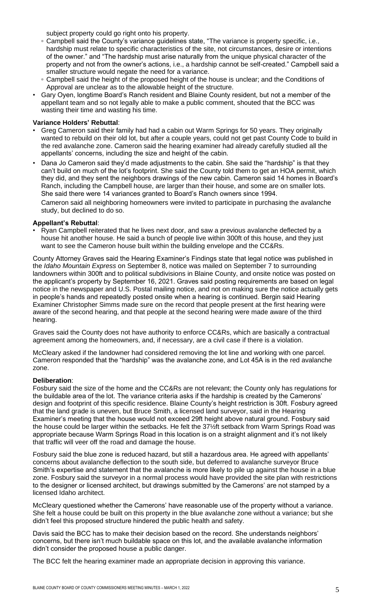subject property could go right onto his property.

- Campbell said the County's variance guidelines state, "The variance is property specific, i.e., hardship must relate to specific characteristics of the site, not circumstances, desire or intentions of the owner." and "The hardship must arise naturally from the unique physical character of the property and not from the owner's actions, i.e., a hardship cannot be self-created." Campbell said a smaller structure would negate the need for a variance.
- Campbell said the height of the proposed height of the house is unclear; and the Conditions of Approval are unclear as to the allowable height of the structure.
- Gary Oyen, longtime Board's Ranch resident and Blaine County resident, but not a member of the appellant team and so not legally able to make a public comment, shouted that the BCC was wasting their time and wasting his time.

## **Variance Holders' Rebuttal**:

- Greg Cameron said their family had had a cabin out Warm Springs for 50 years. They originally wanted to rebuild on their old lot, but after a couple years, could not get past County Code to build in the red avalanche zone. Cameron said the hearing examiner had already carefully studied all the appellants' concerns, including the size and height of the cabin.
- Dana Jo Cameron said they'd made adjustments to the cabin. She said the "hardship" is that they can't build on much of the lot's footprint. She said the County told them to get an HOA permit, which they did, and they sent the neighbors drawings of the new cabin. Cameron said 14 homes in Board's Ranch, including the Campbell house, are larger than their house, and some are on smaller lots. She said there were 14 variances granted to Board's Ranch owners since 1994. Cameron said all neighboring homeowners were invited to participate in purchasing the avalanche

study, but declined to do so.

# **Appellant's Rebuttal**:

• Ryan Campbell reiterated that he lives next door, and saw a previous avalanche deflected by a house hit another house. He said a bunch of people live within 300ft of this house, and they just want to see the Cameron house built within the building envelope and the CC&Rs.

County Attorney Graves said the Hearing Examiner's Findings state that legal notice was published in the *Idaho Mountain Express* on September 8, notice was mailed on September 7 to surrounding landowners within 300ft and to political subdivisions in Blaine County, and onsite notice was posted on the applicant's property by September 16, 2021. Graves said posting requirements are based on legal notice in the newspaper and U.S. Postal mailing notice, and not on making sure the notice actually gets in people's hands and repeatedly posted onsite when a hearing is continued. Bergin said Hearing Examiner Christopher Simms made sure on the record that people present at the first hearing were aware of the second hearing, and that people at the second hearing were made aware of the third hearing.

Graves said the County does not have authority to enforce CC&Rs, which are basically a contractual agreement among the homeowners, and, if necessary, are a civil case if there is a violation.

McCleary asked if the landowner had considered removing the lot line and working with one parcel. Cameron responded that the "hardship" was the avalanche zone, and Lot 45A is in the red avalanche zone.

#### **Deliberation**:

Fosbury said the size of the home and the CC&Rs are not relevant; the County only has regulations for the buildable area of the lot. The variance criteria asks if the hardship is created by the Camerons' design and footprint of this specific residence. Blaine County's height restriction is 30ft. Fosbury agreed that the land grade is uneven, but Bruce Smith, a licensed land surveyor, said in the Hearing Examiner's meeting that the house would not exceed 29ft height above natural ground. Fosbury said the house could be larger within the setbacks. He felt the 37½ft setback from Warm Springs Road was appropriate because Warm Springs Road in this location is on a straight alignment and it's not likely that traffic will veer off the road and damage the house.

Fosbury said the blue zone is reduced hazard, but still a hazardous area. He agreed with appellants' concerns about avalanche deflection to the south side, but deferred to avalanche surveyor Bruce Smith's expertise and statement that the avalanche is more likely to pile up against the house in a blue zone. Fosbury said the surveyor in a normal process would have provided the site plan with restrictions to the designer or licensed architect, but drawings submitted by the Camerons' are not stamped by a licensed Idaho architect.

McCleary questioned whether the Camerons' have reasonable use of the property without a variance. She felt a house could be built on this property in the blue avalanche zone without a variance; but she didn't feel this proposed structure hindered the public health and safety.

Davis said the BCC has to make their decision based on the record. She understands neighbors' concerns, but there isn't much buildable space on this lot, and the available avalanche information didn't consider the proposed house a public danger.

The BCC felt the hearing examiner made an appropriate decision in approving this variance.